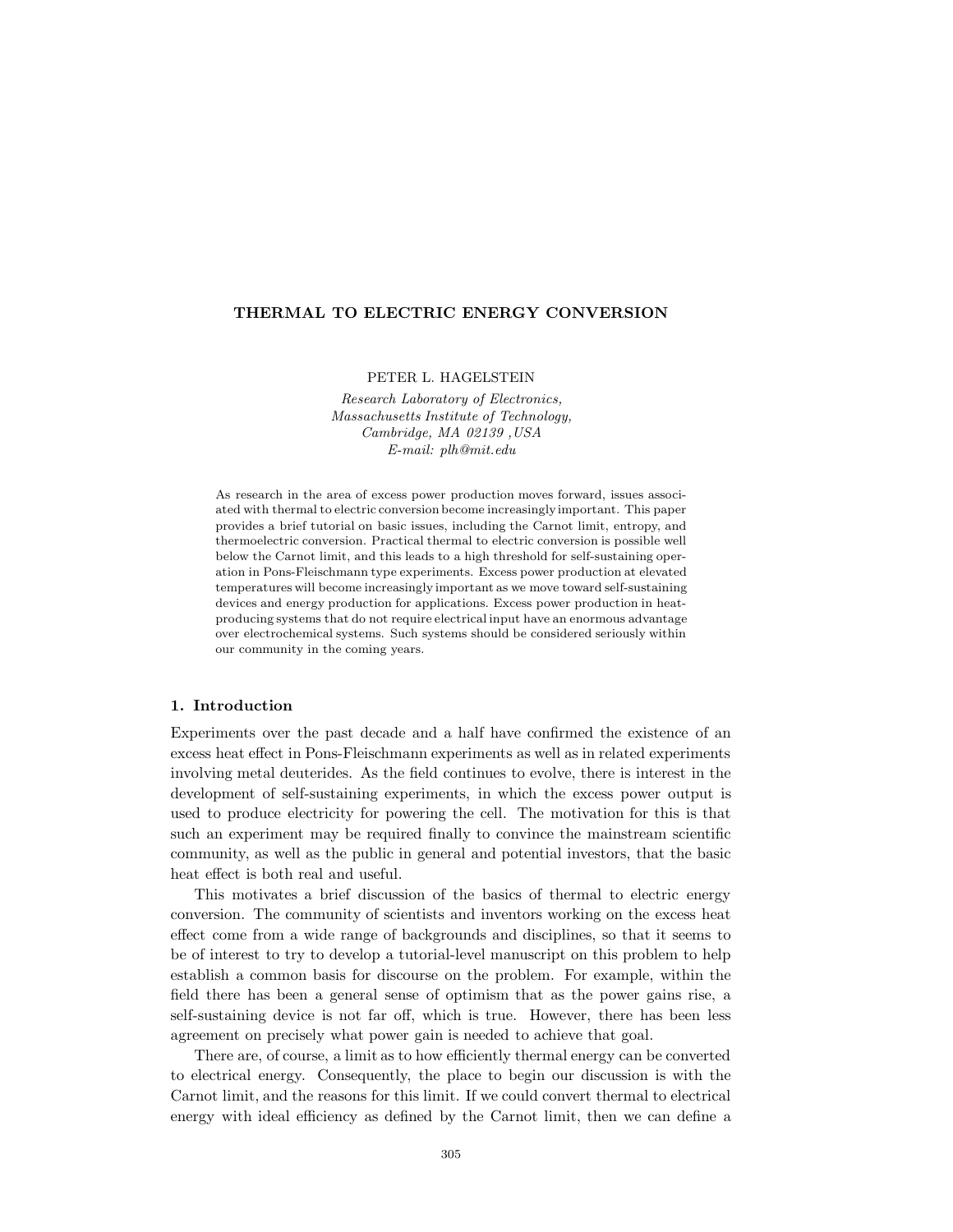## **THERMAL TO ELECTRIC ENERGY CONVERSION**

PETER L. HAGELSTEIN

*Research Laboratory of Electronics, Massachusetts Institute of Technology, Cambridge, MA 02139 ,USA E-mail: plh@mit.edu*

As research in the area of excess power production moves forward, issues associated with thermal to electric conversion become increasinglyimportant. This paper provides a brief tutorial on basic issues, including the Carnot limit, entropy, and thermoelectric conversion. Practical thermal to electric conversion is possible well below the Carnot limit, and this leads to a high threshold for self-sustaining operation in Pons-Fleischmann type experiments. Excess power production at elevated temperatures will become increasingly important as we move toward self-sustaining devices and energy production for applications. Excess power production in heatproducing systems that do not require electrical input have an enormous advantage over electrochemical systems. Such systems should be considered seriously within our community in the coming years.

#### **1. Introduction**

Experiments over the past decade and a half have confirmed the existence of an excess heat effect in Pons-Fleischmann experiments as well as in related experiments involving metal deuterides. As the field continues to evolve, there is interest in the development of self-sustaining experiments, in which the excess power output is used to produce electricity for powering the cell. The motivation for this is that such an experiment may be required finally to convince the mainstream scientific community, as well as the public in general and potential investors, that the basic heat effect is both real and useful.

This motivates a brief discussion of the basics of thermal to electric energy conversion. The community of scientists and inventors working on the excess heat effect come from a wide range of backgrounds and disciplines, so that it seems to be of interest to try to develop a tutorial-level manuscript on this problem to help establish a common basis for discourse on the problem. For example, within the field there has been a general sense of optimism that as the power gains rise, a self-sustaining device is not far off, which is true. However, there has been less agreement on precisely what power gain is needed to achieve that goal.

There are, of course, a limit as to how efficiently thermal energy can be converted to electrical energy. Consequently, the place to begin our discussion is with the Carnot limit, and the reasons for this limit. If we could convert thermal to electrical energy with ideal efficiency as defined by the Carnot limit, then we can define a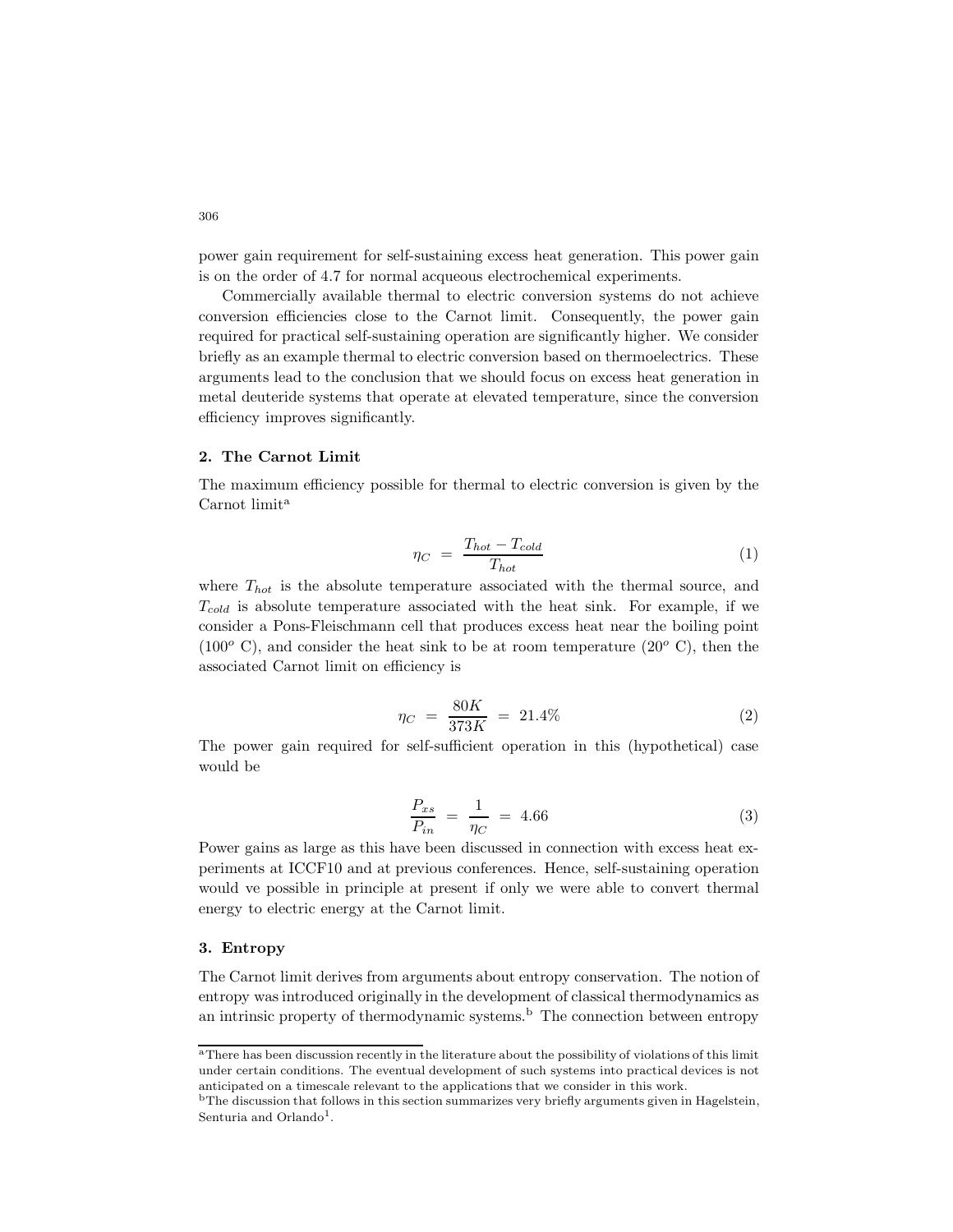power gain requirement for self-sustaining excess heat generation. This power gain is on the order of 4.7 for normal acqueous electrochemical experiments.

Commercially available thermal to electric conversion systems do not achieve conversion efficiencies close to the Carnot limit. Consequently, the power gain required for practical self-sustaining operation are significantly higher. We consider briefly as an example thermal to electric conversion based on thermoelectrics. These arguments lead to the conclusion that we should focus on excess heat generation in metal deuteride systems that operate at elevated temperature, since the conversion efficiency improves significantly.

### **2. The Carnot Limit**

The maximum efficiency possible for thermal to electric conversion is given by the Carnot limit<sup>a</sup>

$$
\eta_C = \frac{T_{hot} - T_{cold}}{T_{hot}} \tag{1}
$$

where T*hot* is the absolute temperature associated with the thermal source, and T*cold* is absolute temperature associated with the heat sink. For example, if we consider a Pons-Fleischmann cell that produces excess heat near the boiling point  $(100<sup>o</sup>$  C), and consider the heat sink to be at room temperature  $(20<sup>o</sup>$  C), then the associated Carnot limit on efficiency is

$$
\eta_C = \frac{80K}{373K} = 21.4\% \tag{2}
$$

The power gain required for self-sufficient operation in this (hypothetical) case would be

$$
\frac{P_{xs}}{P_{in}} = \frac{1}{\eta_C} = 4.66\tag{3}
$$

Power gains as large as this have been discussed in connection with excess heat experiments at ICCF10 and at previous conferences. Hence, self-sustaining operation would ve possible in principle at present if only we were able to convert thermal energy to electric energy at the Carnot limit.

# **3. Entropy**

The Carnot limit derives from arguments about entropy conservation. The notion of entropy was introduced originally in the development of classical thermodynamics as an intrinsic property of thermodynamic systems.<sup>b</sup> The connection between entropy

<sup>&</sup>lt;sup>a</sup>There has been discussion recently in the literature about the possibility of violations of this limit under certain conditions. The eventual development of such systems into practical devices is not anticipated on a timescale relevant to the applications that we consider in this work.

<sup>&</sup>lt;sup>b</sup>The discussion that follows in this section summarizes very briefly arguments given in Hagelstein, Senturia and Orlando<sup>1</sup>.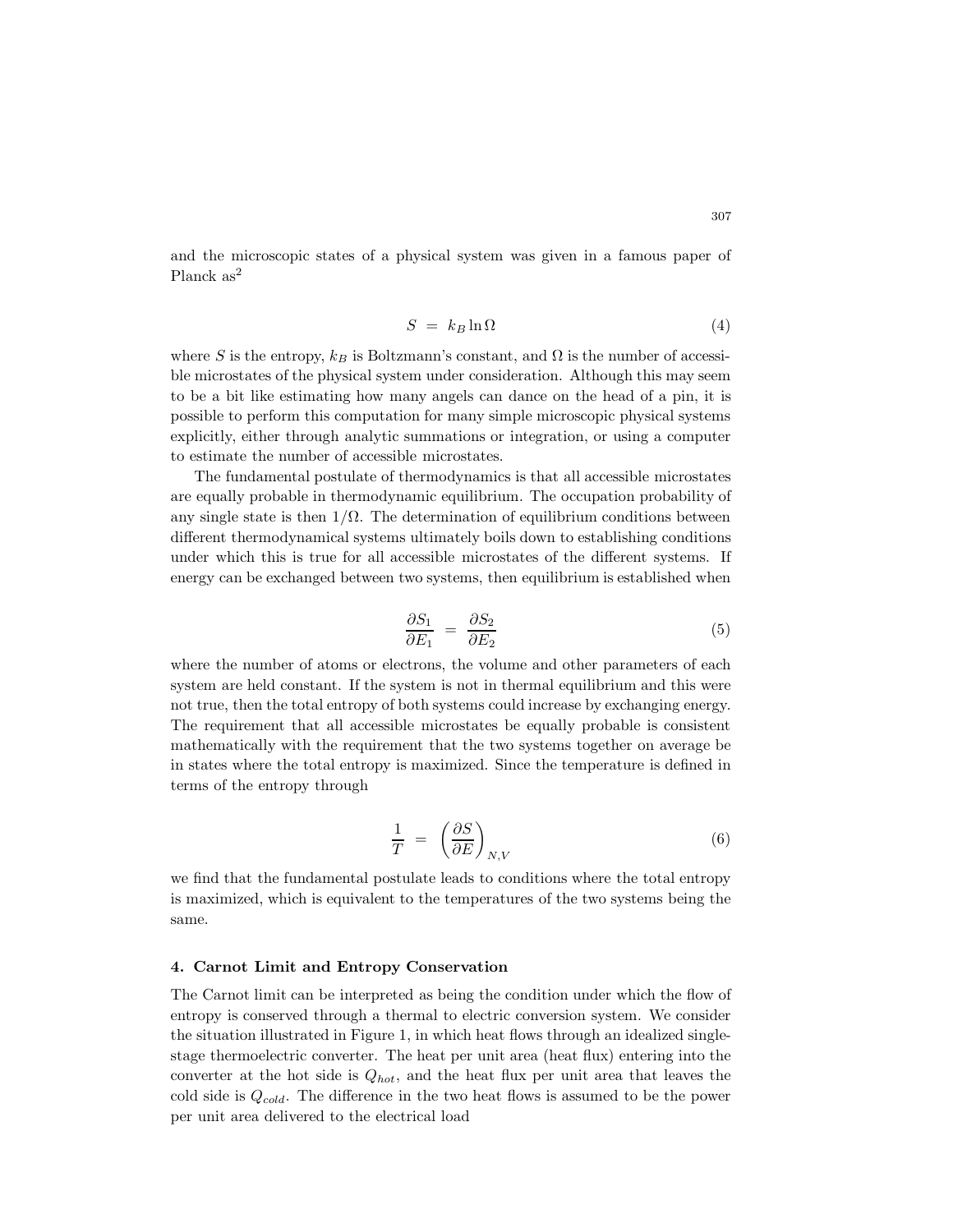and the microscopic states of a physical system was given in a famous paper of Planck as<sup>2</sup>

$$
S = k_B \ln \Omega \tag{4}
$$

where S is the entropy,  $k_B$  is Boltzmann's constant, and  $\Omega$  is the number of accessible microstates of the physical system under consideration. Although this may seem to be a bit like estimating how many angels can dance on the head of a pin, it is possible to perform this computation for many simple microscopic physical systems explicitly, either through analytic summations or integration, or using a computer to estimate the number of accessible microstates.

The fundamental postulate of thermodynamics is that all accessible microstates are equally probable in thermodynamic equilibrium. The occupation probability of any single state is then  $1/\Omega$ . The determination of equilibrium conditions between different thermodynamical systems ultimately boils down to establishing conditions under which this is true for all accessible microstates of the different systems. If energy can be exchanged between two systems, then equilibrium is established when

$$
\frac{\partial S_1}{\partial E_1} = \frac{\partial S_2}{\partial E_2} \tag{5}
$$

where the number of atoms or electrons, the volume and other parameters of each system are held constant. If the system is not in thermal equilibrium and this were not true, then the total entropy of both systems could increase by exchanging energy. The requirement that all accessible microstates be equally probable is consistent mathematically with the requirement that the two systems together on average be in states where the total entropy is maximized. Since the temperature is defined in terms of the entropy through

$$
\frac{1}{T} = \left(\frac{\partial S}{\partial E}\right)_{N,V} \tag{6}
$$

we find that the fundamental postulate leads to conditions where the total entropy is maximized, which is equivalent to the temperatures of the two systems being the same.

# **4. Carnot Limit and Entropy Conservation**

The Carnot limit can be interpreted as being the condition under which the flow of entropy is conserved through a thermal to electric conversion system. We consider the situation illustrated in Figure 1, in which heat flows through an idealized singlestage thermoelectric converter. The heat per unit area (heat flux) entering into the converter at the hot side is Q*hot*, and the heat flux per unit area that leaves the cold side is Q*cold*. The difference in the two heat flows is assumed to be the power per unit area delivered to the electrical load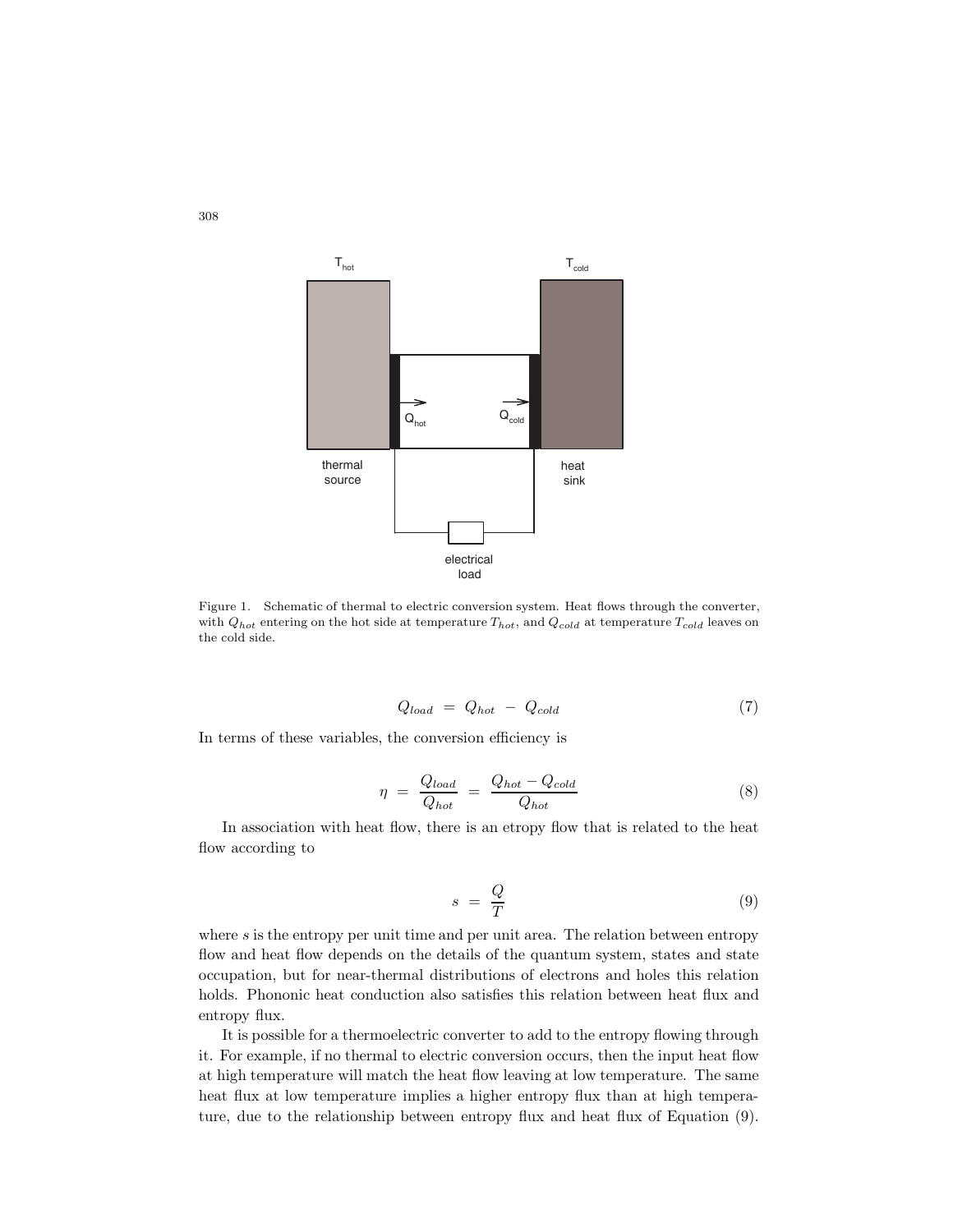

Figure 1. Schematic of thermal to electric conversion system. Heat flows through the converter, with  $Q_{hot}$  entering on the hot side at temperature  $T_{hot}$ , and  $Q_{cold}$  at temperature  $T_{cold}$  leaves on the cold side.

$$
Q_{load} = Q_{hot} - Q_{cold} \tag{7}
$$

In terms of these variables, the conversion efficiency is

$$
\eta = \frac{Q_{load}}{Q_{hot}} = \frac{Q_{hot} - Q_{cold}}{Q_{hot}} \tag{8}
$$

In association with heat flow, there is an etropy flow that is related to the heat flow according to

$$
s = \frac{Q}{T} \tag{9}
$$

where  $s$  is the entropy per unit time and per unit area. The relation between entropy flow and heat flow depends on the details of the quantum system, states and state occupation, but for near-thermal distributions of electrons and holes this relation holds. Phononic heat conduction also satisfies this relation between heat flux and entropy flux.

It is possible for a thermoelectric converter to add to the entropy flowing through it. For example, if no thermal to electric conversion occurs, then the input heat flow at high temperature will match the heat flow leaving at low temperature. The same heat flux at low temperature implies a higher entropy flux than at high temperature, due to the relationship between entropy flux and heat flux of Equation (9).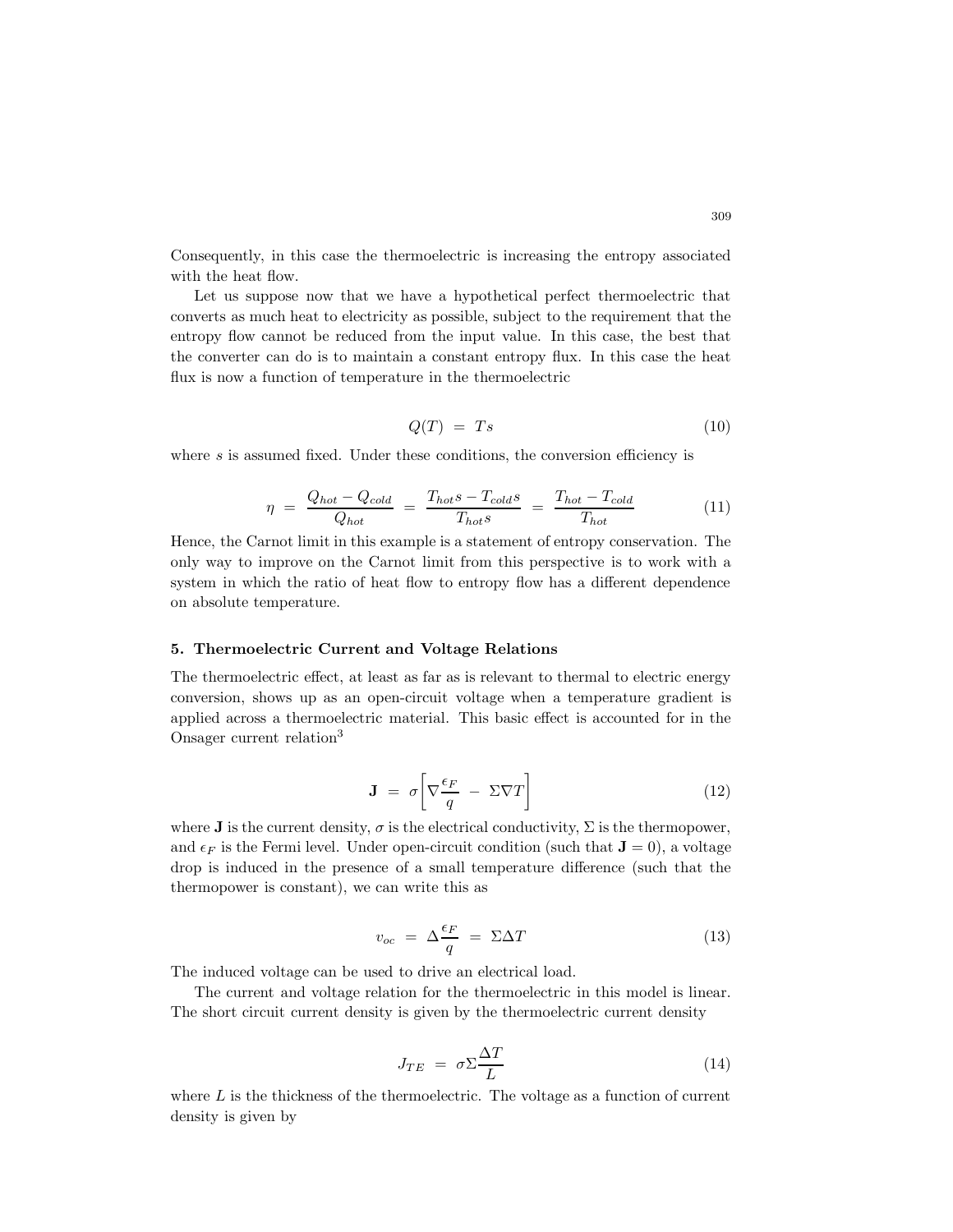Consequently, in this case the thermoelectric is increasing the entropy associated with the heat flow.

Let us suppose now that we have a hypothetical perfect thermoelectric that converts as much heat to electricity as possible, subject to the requirement that the entropy flow cannot be reduced from the input value. In this case, the best that the converter can do is to maintain a constant entropy flux. In this case the heat flux is now a function of temperature in the thermoelectric

$$
Q(T) = Ts \tag{10}
$$

where s is assumed fixed. Under these conditions, the conversion efficiency is

$$
\eta = \frac{Q_{hot} - Q_{cold}}{Q_{hot}} = \frac{T_{hot}s - T_{cold}s}{T_{hot}s} = \frac{T_{hot} - T_{cold}}{T_{hot}}
$$
(11)

Hence, the Carnot limit in this example is a statement of entropy conservation. The only way to improve on the Carnot limit from this perspective is to work with a system in which the ratio of heat flow to entropy flow has a different dependence on absolute temperature.

## **5. Thermoelectric Current and Voltage Relations**

The thermoelectric effect, at least as far as is relevant to thermal to electric energy conversion, shows up as an open-circuit voltage when a temperature gradient is applied across a thermoelectric material. This basic effect is accounted for in the Onsager current relation<sup>3</sup>

$$
\mathbf{J} = \sigma \left[ \nabla \frac{\epsilon_F}{q} - \Sigma \nabla T \right] \tag{12}
$$

where **J** is the current density,  $\sigma$  is the electrical conductivity,  $\Sigma$  is the thermopower, and  $\epsilon_F$  is the Fermi level. Under open-circuit condition (such that  $\mathbf{J} = 0$ ), a voltage drop is induced in the presence of a small temperature difference (such that the thermopower is constant), we can write this as

$$
v_{oc} = \Delta \frac{\epsilon_F}{q} = \Sigma \Delta T \tag{13}
$$

The induced voltage can be used to drive an electrical load.

The current and voltage relation for the thermoelectric in this model is linear. The short circuit current density is given by the thermoelectric current density

$$
J_{TE} = \sigma \Sigma \frac{\Delta T}{L} \tag{14}
$$

where  $L$  is the thickness of the thermoelectric. The voltage as a function of current density is given by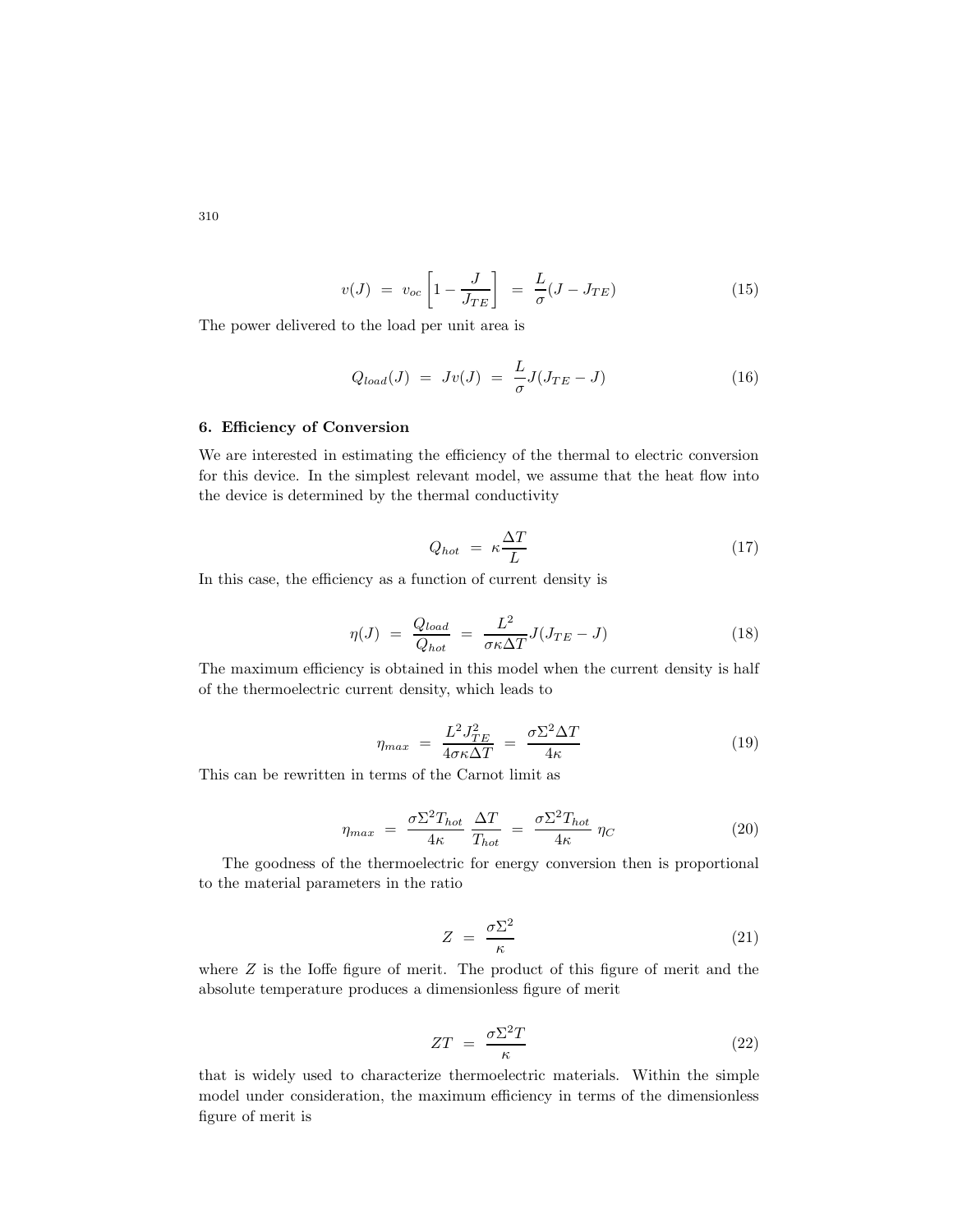$$
v(J) = v_{oc} \left[ 1 - \frac{J}{J_{TE}} \right] = \frac{L}{\sigma} (J - J_{TE}) \tag{15}
$$

The power delivered to the load per unit area is

$$
Q_{load}(J) = Jv(J) = \frac{L}{\sigma}J(J_{TE} - J)
$$
\n(16)

# **6. Efficiency of Conversion**

We are interested in estimating the efficiency of the thermal to electric conversion for this device. In the simplest relevant model, we assume that the heat flow into the device is determined by the thermal conductivity

$$
Q_{hot} = \kappa \frac{\Delta T}{L} \tag{17}
$$

In this case, the efficiency as a function of current density is

$$
\eta(J) = \frac{Q_{load}}{Q_{hot}} = \frac{L^2}{\sigma \kappa \Delta T} J(J_{TE} - J)
$$
\n(18)

The maximum efficiency is obtained in this model when the current density is half of the thermoelectric current density, which leads to

$$
\eta_{max} = \frac{L^2 J_{TE}^2}{4\sigma \kappa \Delta T} = \frac{\sigma \Sigma^2 \Delta T}{4\kappa} \tag{19}
$$

This can be rewritten in terms of the Carnot limit as

$$
\eta_{max} = \frac{\sigma \Sigma^2 T_{hot}}{4\kappa} \frac{\Delta T}{T_{hot}} = \frac{\sigma \Sigma^2 T_{hot}}{4\kappa} \eta_C \tag{20}
$$

The goodness of the thermoelectric for energy conversion then is proportional to the material parameters in the ratio

$$
Z = \frac{\sigma \Sigma^2}{\kappa} \tag{21}
$$

where  $Z$  is the Ioffe figure of merit. The product of this figure of merit and the absolute temperature produces a dimensionless figure of merit

$$
ZT = \frac{\sigma \Sigma^2 T}{\kappa} \tag{22}
$$

that is widely used to characterize thermoelectric materials. Within the simple model under consideration, the maximum efficiency in terms of the dimensionless figure of merit is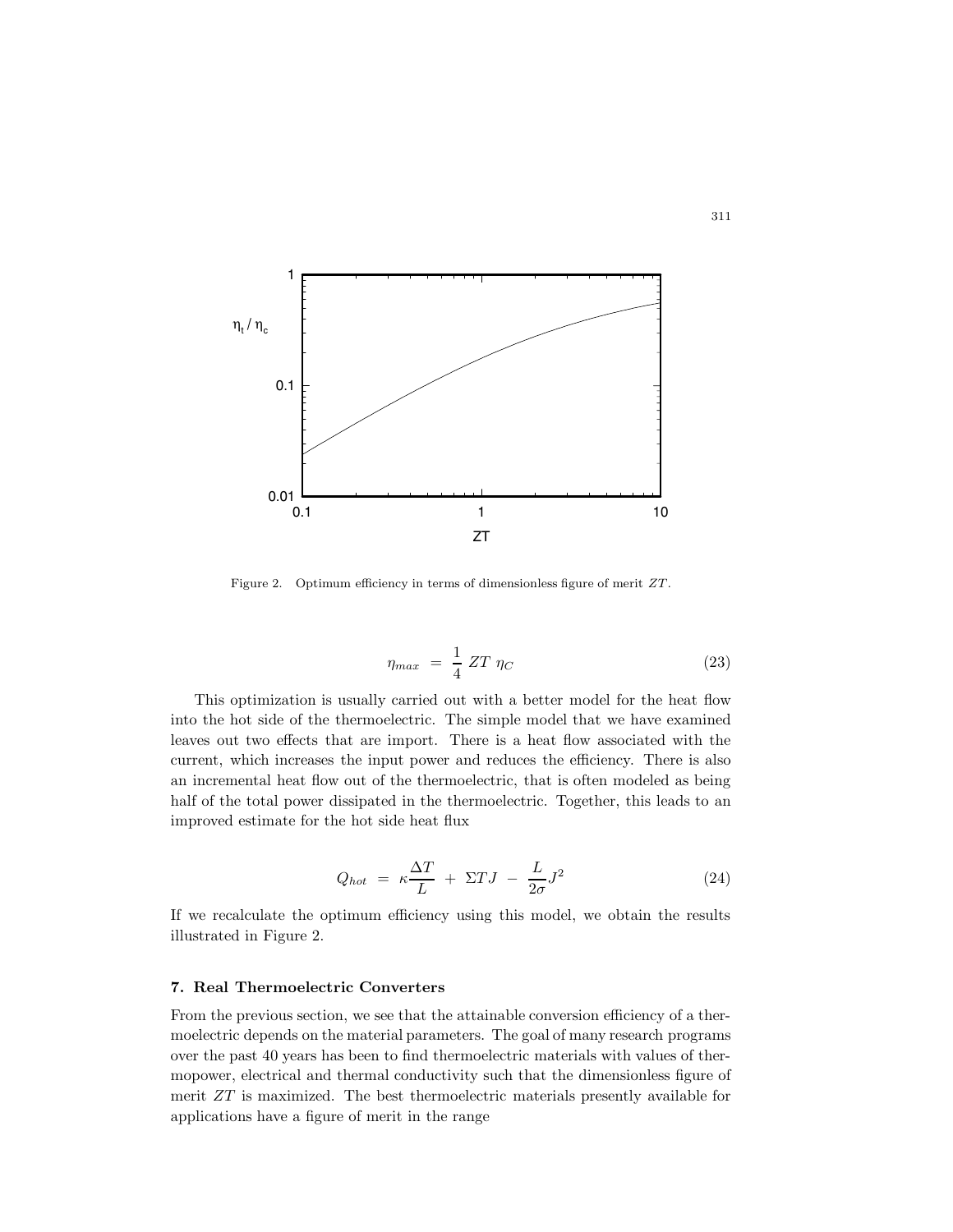

Figure 2. Optimum efficiency in terms of dimensionless figure of merit *ZT* .

$$
\eta_{max} = \frac{1}{4} ZT \eta_C \tag{23}
$$

This optimization is usually carried out with a better model for the heat flow into the hot side of the thermoelectric. The simple model that we have examined leaves out two effects that are import. There is a heat flow associated with the current, which increases the input power and reduces the efficiency. There is also an incremental heat flow out of the thermoelectric, that is often modeled as being half of the total power dissipated in the thermoelectric. Together, this leads to an improved estimate for the hot side heat flux

$$
Q_{hot} = \kappa \frac{\Delta T}{L} + \Sigma TJ - \frac{L}{2\sigma}J^2 \tag{24}
$$

If we recalculate the optimum efficiency using this model, we obtain the results illustrated in Figure 2.

### **7. Real Thermoelectric Converters**

From the previous section, we see that the attainable conversion efficiency of a thermoelectric depends on the material parameters. The goal of many research programs over the past 40 years has been to find thermoelectric materials with values of thermopower, electrical and thermal conductivity such that the dimensionless figure of merit  $ZT$  is maximized. The best thermoelectric materials presently available for applications have a figure of merit in the range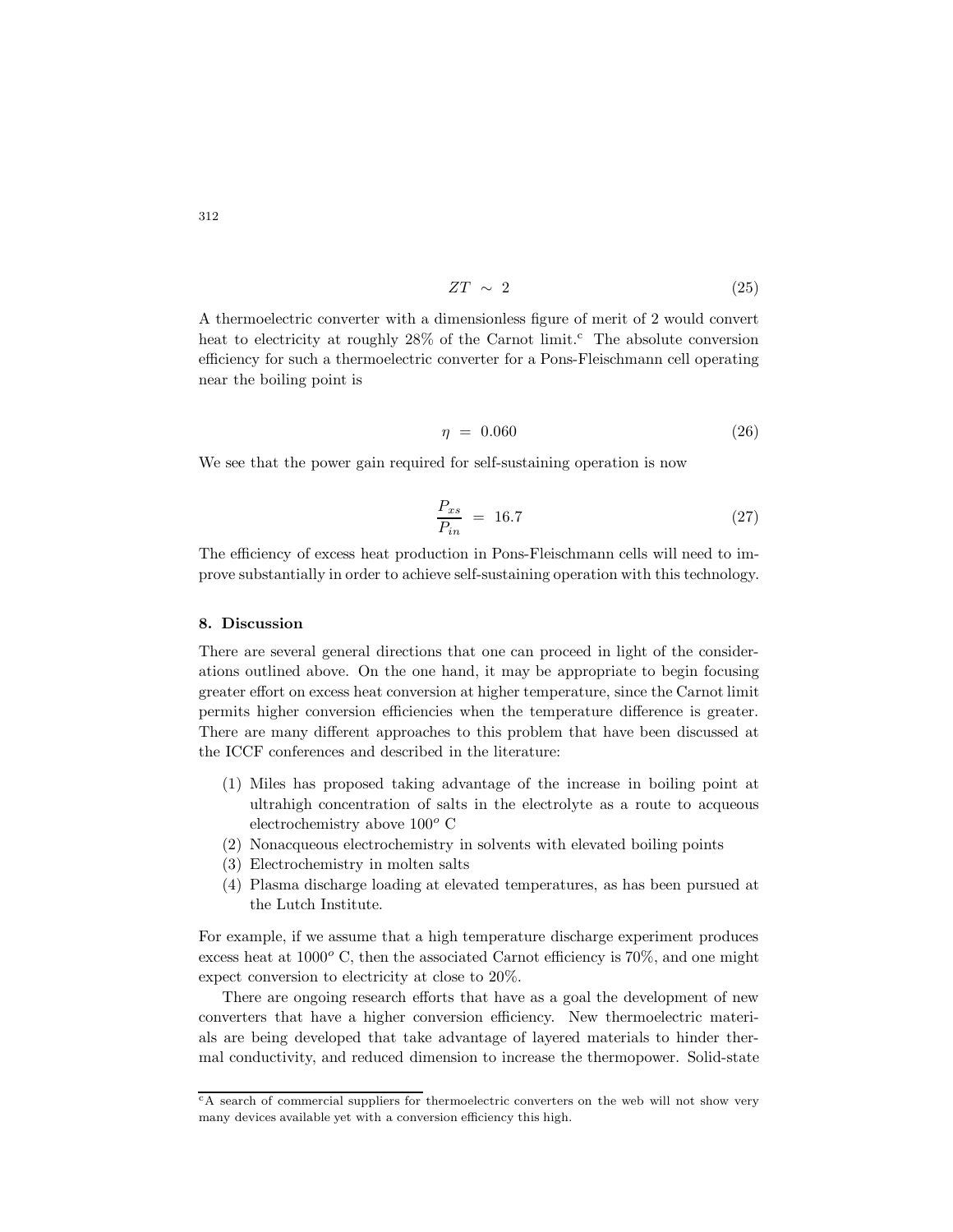$$
ZT \sim 2 \tag{25}
$$

A thermoelectric converter with a dimensionless figure of merit of 2 would convert heat to electricity at roughly  $28\%$  of the Carnot limit.<sup>c</sup> The absolute conversion efficiency for such a thermoelectric converter for a Pons-Fleischmann cell operating near the boiling point is

$$
\eta = 0.060 \tag{26}
$$

We see that the power gain required for self-sustaining operation is now

$$
\frac{P_{xs}}{P_{in}} = 16.7\tag{27}
$$

The efficiency of excess heat production in Pons-Fleischmann cells will need to improve substantially in order to achieve self-sustaining operation with this technology.

### **8. Discussion**

There are several general directions that one can proceed in light of the considerations outlined above. On the one hand, it may be appropriate to begin focusing greater effort on excess heat conversion at higher temperature, since the Carnot limit permits higher conversion efficiencies when the temperature difference is greater. There are many different approaches to this problem that have been discussed at the ICCF conferences and described in the literature:

- (1) Miles has proposed taking advantage of the increase in boiling point at ultrahigh concentration of salts in the electrolyte as a route to acqueous electrochemistry above 100*<sup>o</sup>* C
- (2) Nonacqueous electrochemistry in solvents with elevated boiling points
- (3) Electrochemistry in molten salts
- (4) Plasma discharge loading at elevated temperatures, as has been pursued at the Lutch Institute.

For example, if we assume that a high temperature discharge experiment produces excess heat at 1000*<sup>o</sup>* C, then the associated Carnot efficiency is 70%, and one might expect conversion to electricity at close to 20%.

There are ongoing research efforts that have as a goal the development of new converters that have a higher conversion efficiency. New thermoelectric materials are being developed that take advantage of layered materials to hinder thermal conductivity, and reduced dimension to increase the thermopower. Solid-state

<sup>c</sup>A search of commercial suppliers for thermoelectric converters on the web will not show very many devices available yet with a conversion efficiency this high.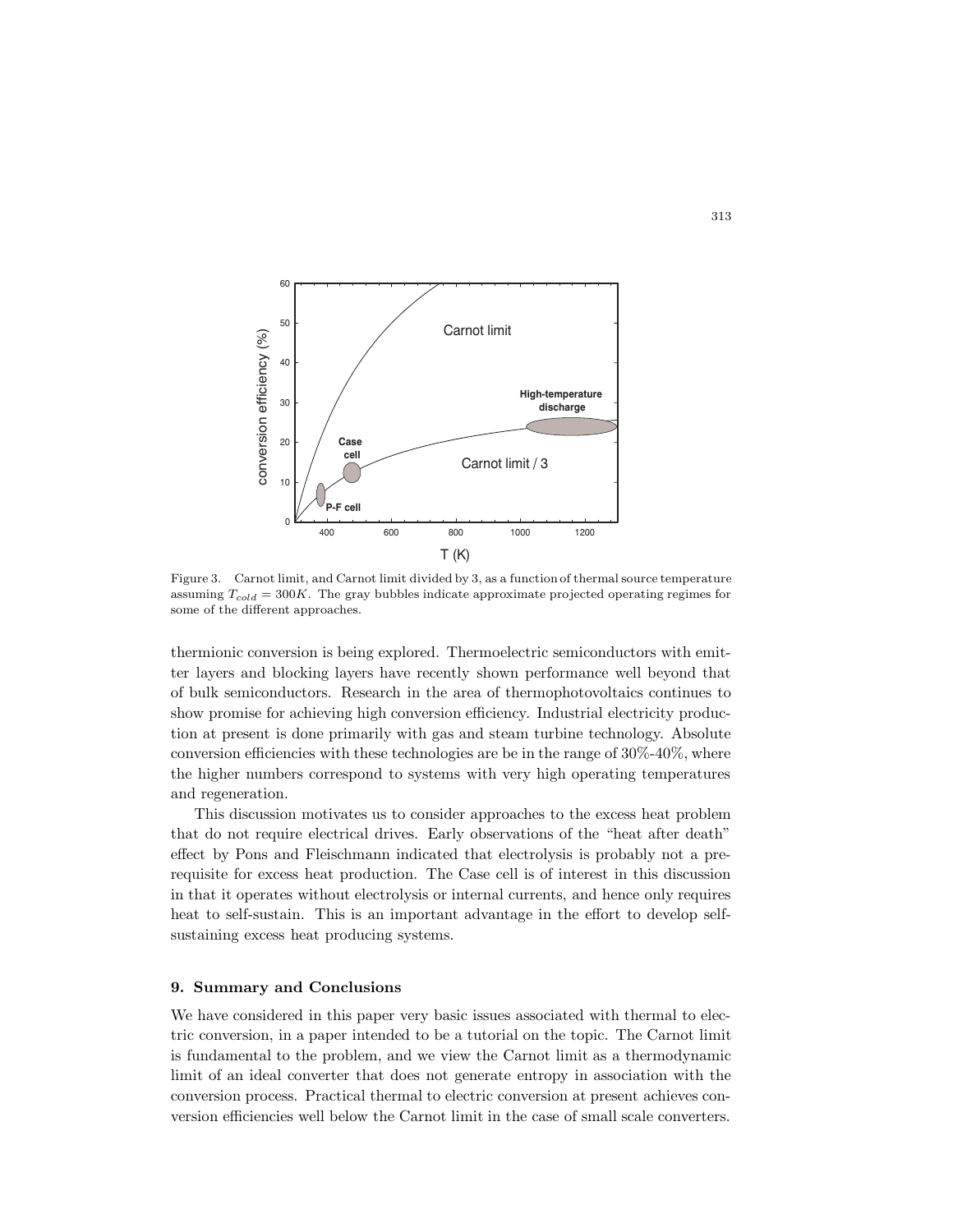

Figure 3. Carnot limit, and Carnot limit divided by 3, as a function of thermal source temperature assuming  $T_{cold} = 300K$ . The gray bubbles indicate approximate projected operating regimes for some of the different approaches.

thermionic conversion is being explored. Thermoelectric semiconductors with emitter layers and blocking layers have recently shown performance well beyond that of bulk semiconductors. Research in the area of thermophotovoltaics continues to show promise for achieving high conversion efficiency. Industrial electricity production at present is done primarily with gas and steam turbine technology. Absolute conversion efficiencies with these technologies are be in the range of  $30\% - 40\%$ , where the higher numbers correspond to systems with very high operating temperatures and regeneration.

This discussion motivates us to consider approaches to the excess heat problem that do not require electrical drives. Early observations of the "heat after death" effect by Pons and Fleischmann indicated that electrolysis is probably not a prerequisite for excess heat production. The Case cell is of interest in this discussion in that it operates without electrolysis or internal currents, and hence only requires heat to self-sustain. This is an important advantage in the effort to develop selfsustaining excess heat producing systems.

# **9. Summary and Conclusions**

We have considered in this paper very basic issues associated with thermal to electric conversion, in a paper intended to be a tutorial on the topic. The Carnot limit is fundamental to the problem, and we view the Carnot limit as a thermodynamic limit of an ideal converter that does not generate entropy in association with the conversion process. Practical thermal to electric conversion at present achieves conversion efficiencies well below the Carnot limit in the case of small scale converters.